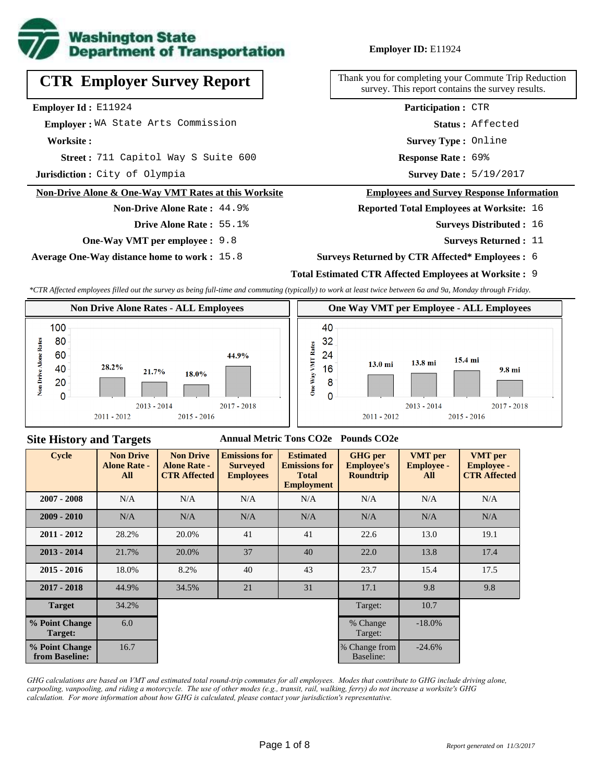

# **CTR Employer Survey Report**

**Employer Id :** E11924

 **Employer :** WA State Arts Commission

**Worksite :**

711 Capitol Way S Suite 600 **Response Rate : Street :**

**Jurisdiction :** City of Olympia

#### **Non-Drive Alone & One-Way VMT Rates at this Worksite**

**Non-Drive Alone Rate :** 44.9% **Drive Alone Rate :** 55.1%

**One-Way VMT per employee :** 9.8

**Average One-Way distance home to work :** 15.8

**Employer ID:** E11924

Thank you for completing your Commute Trip Reduction survey. This report contains the survey results.

> **Status :** Affected **Participation :** CTR

**Survey Type :** Online

Response Rate: 69%

Survey Date: 5/19/2017

#### **Employees and Survey Response Information**

**Reported Total Employees at Worksite:** 16

- Surveys Distributed : 16
	- **Surveys Returned :** 11

#### **Surveys Returned by CTR Affected\* Employees :** 6

## **Total Estimated CTR Affected Employees at Worksite :** 9

*\*CTR Affected employees filled out the survey as being full-time and commuting (typically) to work at least twice between 6a and 9a, Monday through Friday.*



### **Site History and Targets**

#### **Annual Metric Tons CO2e Pounds CO2e**

| <b>Cycle</b>                     | <b>Non Drive</b><br><b>Alone Rate -</b><br>All | <b>Non Drive</b><br><b>Alone Rate -</b><br><b>CTR Affected</b> | <b>Emissions for</b><br><b>Surveyed</b><br><b>Employees</b> | <b>Estimated</b><br><b>Emissions for</b><br><b>Total</b><br><b>Employment</b> | <b>GHG</b> per<br><b>Employee's</b><br><b>Roundtrip</b> | <b>VMT</b> per<br><b>Employee -</b><br>All | <b>VMT</b> per<br><b>Employee -</b><br><b>CTR Affected</b> |
|----------------------------------|------------------------------------------------|----------------------------------------------------------------|-------------------------------------------------------------|-------------------------------------------------------------------------------|---------------------------------------------------------|--------------------------------------------|------------------------------------------------------------|
| $2007 - 2008$                    | N/A                                            | N/A                                                            | N/A                                                         | N/A                                                                           | N/A                                                     | N/A                                        | N/A                                                        |
| $2009 - 2010$                    | N/A                                            | N/A                                                            | N/A                                                         | N/A                                                                           | N/A                                                     | N/A                                        | N/A                                                        |
| $2011 - 2012$                    | 28.2%                                          | 20.0%                                                          | 41                                                          | 41                                                                            | 22.6                                                    | 13.0                                       | 19.1                                                       |
| $2013 - 2014$                    | 21.7%                                          | 20.0%                                                          | 37                                                          | 40                                                                            | 22.0                                                    | 13.8                                       | 17.4                                                       |
| $2015 - 2016$                    | 18.0%                                          | 8.2%                                                           | 40                                                          | 43                                                                            | 23.7                                                    | 15.4                                       | 17.5                                                       |
| $2017 - 2018$                    | 44.9%                                          | 34.5%                                                          | 21                                                          | 31                                                                            | 17.1                                                    | 9.8                                        | 9.8                                                        |
| <b>Target</b>                    | 34.2%                                          |                                                                |                                                             |                                                                               | Target:                                                 | 10.7                                       |                                                            |
| % Point Change<br>Target:        | 6.0                                            |                                                                |                                                             |                                                                               | % Change<br>Target:                                     | $-18.0\%$                                  |                                                            |
| % Point Change<br>from Baseline: | 16.7                                           |                                                                |                                                             |                                                                               | % Change from<br>Baseline:                              | $-24.6%$                                   |                                                            |

*GHG calculations are based on VMT and estimated total round-trip commutes for all employees. Modes that contribute to GHG include driving alone, carpooling, vanpooling, and riding a motorcycle. The use of other modes (e.g., transit, rail, walking, ferry) do not increase a worksite's GHG calculation. For more information about how GHG is calculated, please contact your jurisdiction's representative.*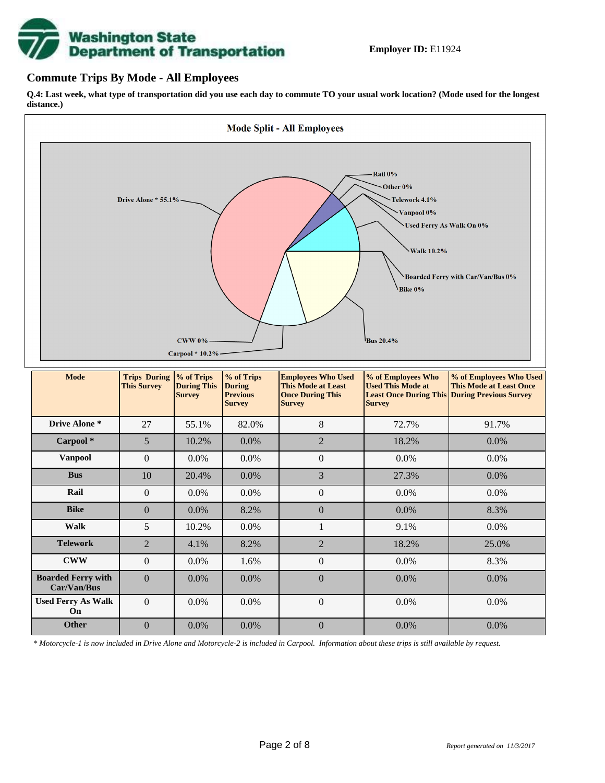# **Washington State<br>Department of Transportation**

## **Commute Trips By Mode - All Employees**

**Q.4: Last week, what type of transportation did you use each day to commute TO your usual work location? (Mode used for the longest distance.)**



*\* Motorcycle-1 is now included in Drive Alone and Motorcycle-2 is included in Carpool. Information about these trips is still available by request.*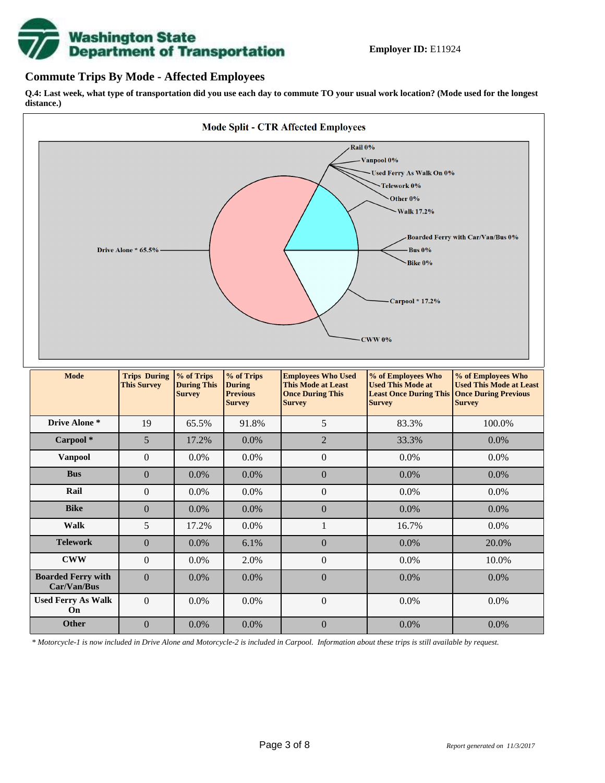

## **Commute Trips By Mode - Affected Employees**

**Q.4: Last week, what type of transportation did you use each day to commute TO your usual work location? (Mode used for the longest distance.)**



*\* Motorcycle-1 is now included in Drive Alone and Motorcycle-2 is included in Carpool. Information about these trips is still available by request.*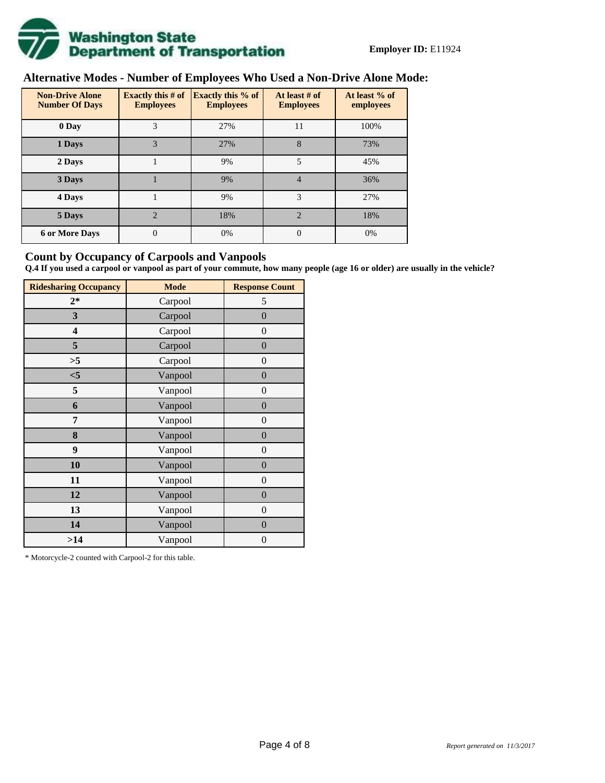

# **Alternative Modes - Number of Employees Who Used a Non-Drive Alone Mode:**

| <b>Non-Drive Alone</b><br><b>Number Of Days</b> | Exactly this $#$ of<br><b>Employees</b> | <b>Exactly this % of</b><br><b>Employees</b> | At least # of<br><b>Employees</b> | At least % of<br>employees |  |
|-------------------------------------------------|-----------------------------------------|----------------------------------------------|-----------------------------------|----------------------------|--|
| 0 Day                                           | 3                                       | 27%                                          | 11                                | 100%                       |  |
| 1 Days                                          | 3                                       | 27%                                          | 8                                 | 73%                        |  |
| 2 Days                                          |                                         | 9%                                           | 5                                 | 45%                        |  |
| 3 Days                                          |                                         | 9%                                           | 4                                 | 36%                        |  |
| 4 Days                                          |                                         | 9%                                           | 3                                 | 27%                        |  |
| 5 Days                                          | $\overline{\mathcal{L}}$                | 18%                                          | $\mathfrak{D}$                    | 18%                        |  |
| <b>6 or More Days</b>                           | 0                                       | 0%                                           | $\Omega$                          | 0%                         |  |

## **Count by Occupancy of Carpools and Vanpools**

**Q.4 If you used a carpool or vanpool as part of your commute, how many people (age 16 or older) are usually in the vehicle?**

| <b>Ridesharing Occupancy</b> | <b>Mode</b> | <b>Response Count</b> |
|------------------------------|-------------|-----------------------|
| $2*$                         | Carpool     | 5                     |
| 3                            | Carpool     | $\boldsymbol{0}$      |
| 4                            | Carpool     | $\theta$              |
| 5                            | Carpool     | $\overline{0}$        |
| >5                           | Carpool     | $\overline{0}$        |
| $<$ 5                        | Vanpool     | $\overline{0}$        |
| 5                            | Vanpool     | $\overline{0}$        |
| 6                            | Vanpool     | $\boldsymbol{0}$      |
| 7                            | Vanpool     | $\overline{0}$        |
| 8                            | Vanpool     | $\boldsymbol{0}$      |
| 9                            | Vanpool     | $\overline{0}$        |
| 10                           | Vanpool     | $\overline{0}$        |
| 11                           | Vanpool     | $\boldsymbol{0}$      |
| 12                           | Vanpool     | $\boldsymbol{0}$      |
| 13                           | Vanpool     | $\boldsymbol{0}$      |
| 14                           | Vanpool     | $\overline{0}$        |
| >14                          | Vanpool     | $\boldsymbol{0}$      |

\* Motorcycle-2 counted with Carpool-2 for this table.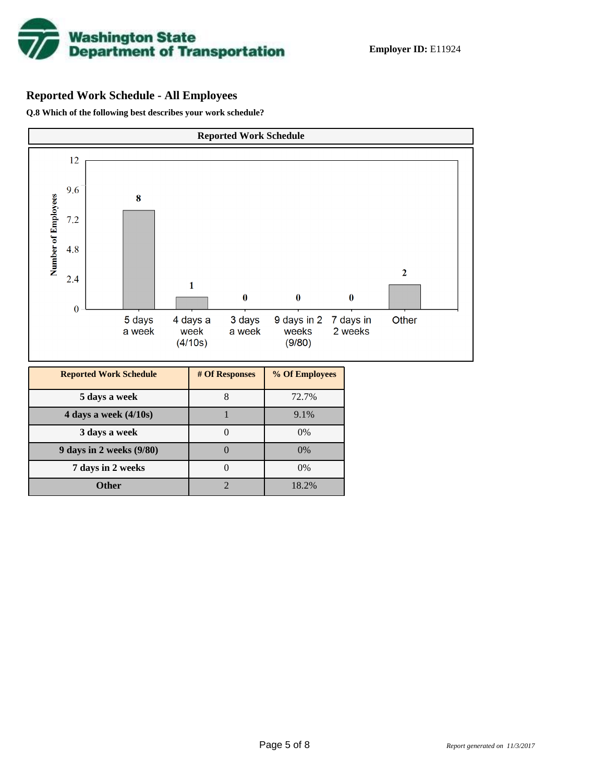

# **Reported Work Schedule - All Employees**

**Q.8 Which of the following best describes your work schedule?**

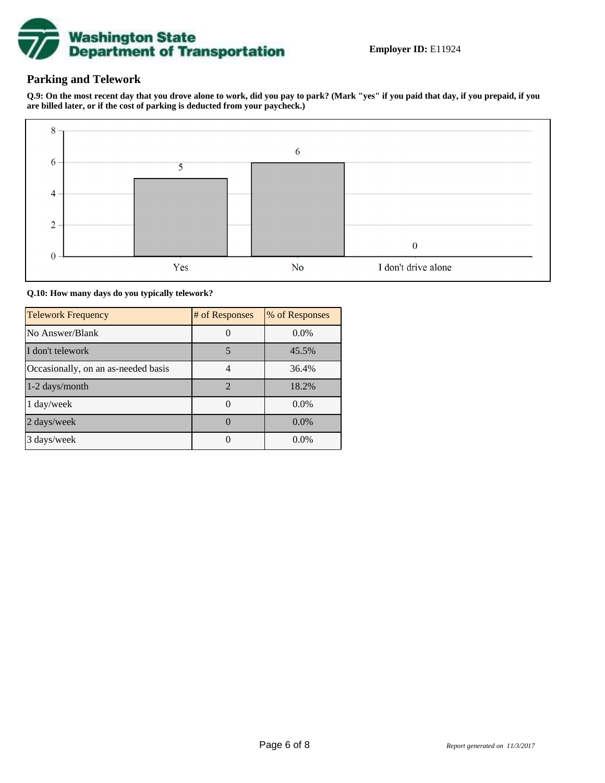

# **Parking and Telework**

**Q.9: On the most recent day that you drove alone to work, did you pay to park? (Mark "yes" if you paid that day, if you prepaid, if you are billed later, or if the cost of parking is deducted from your paycheck.)**



**Q.10: How many days do you typically telework?**

| <b>Telework Frequency</b>           | # of Responses | % of Responses |
|-------------------------------------|----------------|----------------|
| No Answer/Blank                     |                | $0.0\%$        |
| I don't telework                    | 5              | 45.5%          |
| Occasionally, on an as-needed basis |                | 36.4%          |
| 1-2 days/month                      | $\mathcal{D}$  | 18.2%          |
| 1 day/week                          |                | $0.0\%$        |
| 2 days/week                         |                | $0.0\%$        |
| 3 days/week                         |                | $0.0\%$        |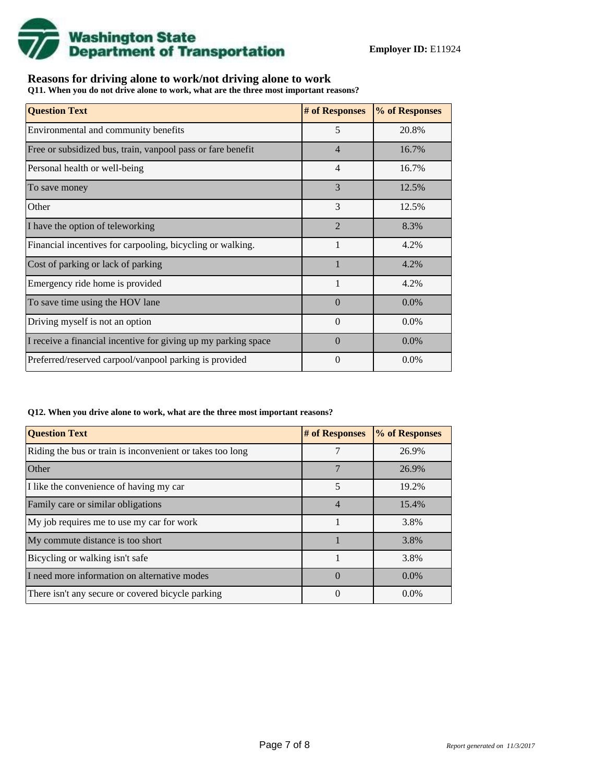

## **Reasons for driving alone to work/not driving alone to work**

**Q11. When you do not drive alone to work, what are the three most important reasons?**

| <b>Question Text</b>                                           | # of Responses | % of Responses |
|----------------------------------------------------------------|----------------|----------------|
| Environmental and community benefits                           | 5              | 20.8%          |
| Free or subsidized bus, train, vanpool pass or fare benefit    | $\overline{4}$ | 16.7%          |
| Personal health or well-being                                  | $\overline{4}$ | 16.7%          |
| To save money                                                  | 3              | 12.5%          |
| Other                                                          | 3              | 12.5%          |
| I have the option of teleworking                               | $\overline{2}$ | 8.3%           |
| Financial incentives for carpooling, bicycling or walking.     | 1              | 4.2%           |
| Cost of parking or lack of parking                             |                | 4.2%           |
| Emergency ride home is provided                                | $\mathbf{1}$   | 4.2%           |
| To save time using the HOV lane                                | $\Omega$       | $0.0\%$        |
| Driving myself is not an option                                | $\theta$       | 0.0%           |
| I receive a financial incentive for giving up my parking space | $\Omega$       | $0.0\%$        |
| Preferred/reserved carpool/vanpool parking is provided         | $\Omega$       | $0.0\%$        |

#### **Q12. When you drive alone to work, what are the three most important reasons?**

| <b>Question Text</b>                                      | # of Responses | % of Responses |  |  |
|-----------------------------------------------------------|----------------|----------------|--|--|
| Riding the bus or train is inconvenient or takes too long | 7              | 26.9%          |  |  |
| <b>Other</b>                                              |                | 26.9%          |  |  |
| I like the convenience of having my car                   | 5              | 19.2%          |  |  |
| Family care or similar obligations                        | $\overline{4}$ | 15.4%          |  |  |
| My job requires me to use my car for work                 |                | 3.8%           |  |  |
| My commute distance is too short                          |                | 3.8%           |  |  |
| Bicycling or walking isn't safe                           |                | 3.8%           |  |  |
| I need more information on alternative modes              | $\Omega$       | $0.0\%$        |  |  |
| There isn't any secure or covered bicycle parking         | $\theta$       | $0.0\%$        |  |  |